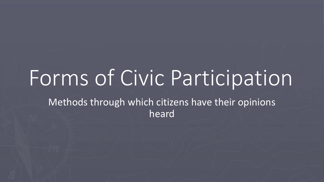# Forms of Civic Participation

Methods through which citizens have their opinions heard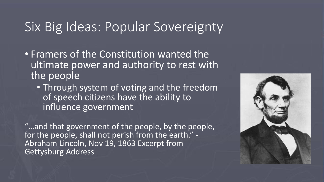### Six Big Ideas: Popular Sovereignty

- Framers of the Constitution wanted the ultimate power and authority to rest with the people
	- Through system of voting and the freedom of speech citizens have the ability to influence government

"…and that government of the people, by the people, for the people, shall not perish from the earth." - Abraham Lincoln, Nov 19, 1863 Excerpt from Gettysburg Address

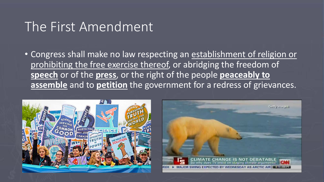### The First Amendment

• Congress shall make no law respecting an establishment of religion or prohibiting the free exercise thereof, or abridging the freedom of **speech** or of the **press**, or the right of the people **peaceably to assemble** and to **petition** the government for a redress of grievances.



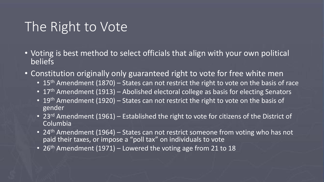# The Right to Vote

- Voting is best method to select officials that align with your own political beliefs
- Constitution originally only guaranteed right to vote for free white men
	- 15<sup>th</sup> Amendment (1870) States can not restrict the right to vote on the basis of race
	- 17<sup>th</sup> Amendment (1913) Abolished electoral college as basis for electing Senators
	- 19<sup>th</sup> Amendment (1920) States can not restrict the right to vote on the basis of gender
	- 23<sup>rd</sup> Amendment (1961) Established the right to vote for citizens of the District of Columbia
	- 24<sup>th</sup> Amendment (1964) States can not restrict someone from voting who has not paid their taxes, or impose a "poll tax" on individuals to vote
	- 26<sup>th</sup> Amendment (1971) Lowered the voting age from 21 to 18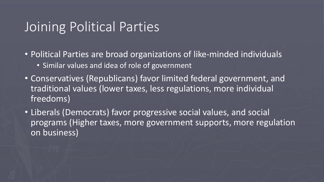### Joining Political Parties

• Political Parties are broad organizations of like-minded individuals

- Similar values and idea of role of government
- Conservatives (Republicans) favor limited federal government, and traditional values (lower taxes, less regulations, more individual freedoms)
- Liberals (Democrats) favor progressive social values, and social programs (Higher taxes, more government supports, more regulation on business)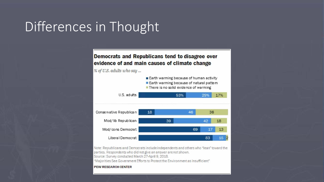# Differences in Thought

#### Democrats and Republicans tend to disagree over evidence of and main causes of climate change

% of U.S. adults who say ...



Note: Republicans and Democrats include independents and others who "lean" toward the parties. Respondents who did not give an answer are not shown. Source: Survey conducted March 27-April 9, 2018.

"Majorities See Government Efforts to Protect the Environment as Insufficient"

#### PEW RESEARCH CENTER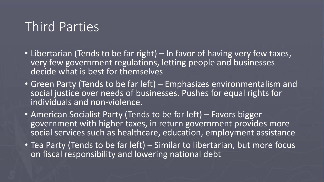# Third Parties

- Libertarian (Tends to be far right) In favor of having very few taxes, very few government regulations, letting people and businesses decide what is best for themselves
- Green Party (Tends to be far left) Emphasizes environmentalism and social justice over needs of businesses. Pushes for equal rights for individuals and non-violence.
- American Socialist Party (Tends to be far left) Favors bigger government with higher taxes, in return government provides more social services such as healthcare, education, employment assistance
- Tea Party (Tends to be far left) Similar to libertarian, but more focus on fiscal responsibility and lowering national debt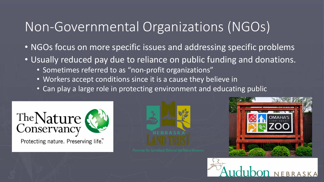# Non-Governmental Organizations (NGOs)

- NGOs focus on more specific issues and addressing specific problems
- Usually reduced pay due to reliance on public funding and donations.
	- Sometimes referred to as "non-profit organizations"
	- Workers accept conditions since it is a cause they believe in
	- Can play a large role in protecting environment and educating public



Protecting nature. Preserving life.™